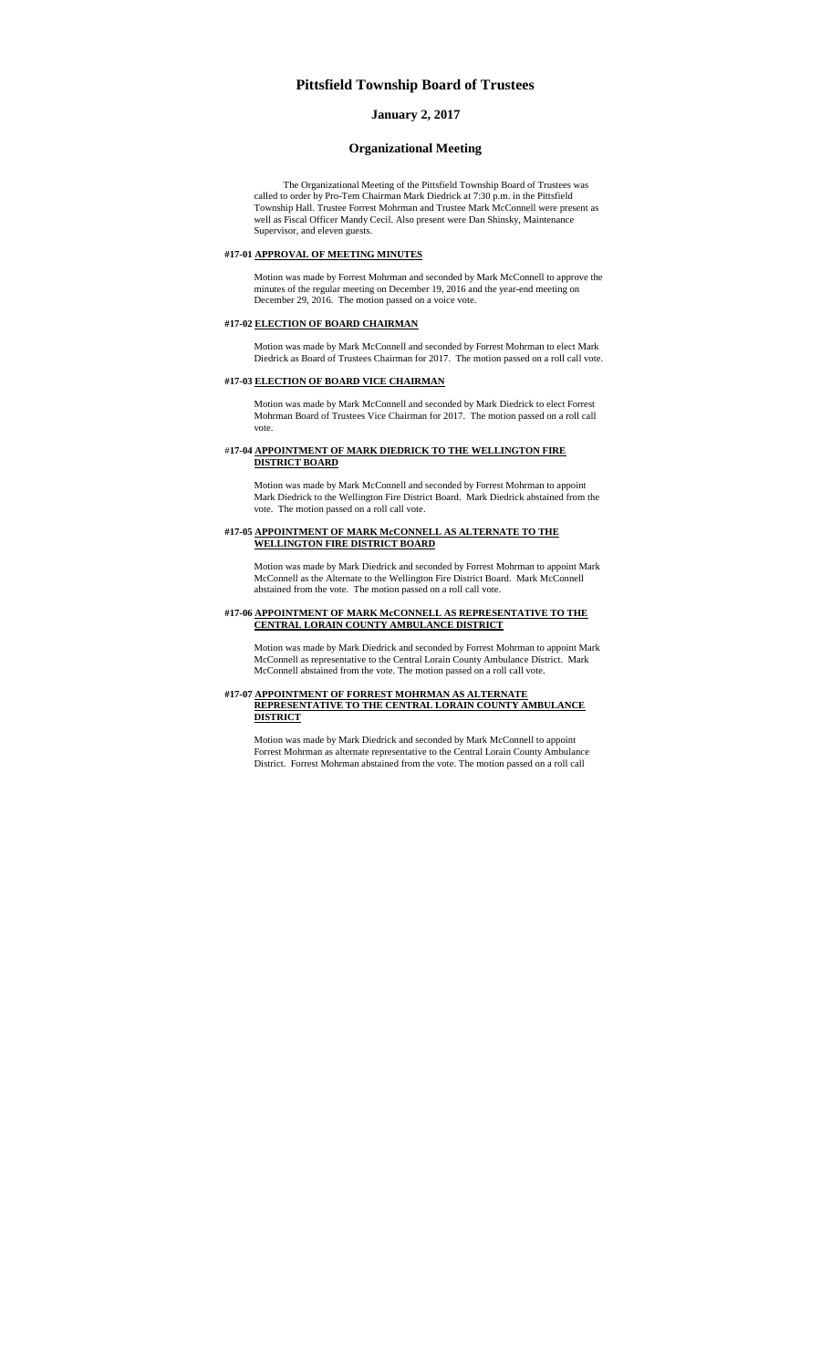## **Pittsfield Township Board of Trustees**

## **January 2, 2017**

## **Organizational Meeting**

The Organizational Meeting of the Pittsfield Township Board of Trustees was called to order by Pro-Tem Chairman Mark Diedrick at 7:30 p.m. in the Pittsfield Township Hall. Trustee Forrest Mohrman and Trustee Mark McConnell were present as well as Fiscal Officer Mandy Cecil. Also present were Dan Shinsky, Maintenance Supervisor, and eleven guests.

#### **#17-01 APPROVAL OF MEETING MINUTES**

Motion was made by Forrest Mohrman and seconded by Mark McConnell to approve the minutes of the regular meeting on December 19, 2016 and the year-end meeting on December 29, 2016. The motion passed on a voice vote.

# **#17-02 ELECTION OF BOARD CHAIRMAN**

Motion was made by Mark McConnell and seconded by Forrest Mohrman to elect Mark Diedrick as Board of Trustees Chairman for 2017. The motion passed on a roll call vote.

#### **#17-03 ELECTION OF BOARD VICE CHAIRMAN**

Motion was made by Mark McConnell and seconded by Mark Diedrick to elect Forrest Mohrman Board of Trustees Vice Chairman for 2017. The motion passed on a roll call vote.

### #**17-04 APPOINTMENT OF MARK DIEDRICK TO THE WELLINGTON FIRE DISTRICT BOARD**

Motion was made by Mark McConnell and seconded by Forrest Mohrman to appoint Mark Diedrick to the Wellington Fire District Board. Mark Diedrick abstained from the vote. The motion passed on a roll call vote.

#### **#17-05 APPOINTMENT OF MARK McCONNELL AS ALTERNATE TO THE WELLINGTON FIRE DISTRICT BOARD**

Motion was made by Mark Diedrick and seconded by Forrest Mohrman to appoint Mark McConnell as the Alternate to the Wellington Fire District Board. Mark McConnell abstained from the vote. The motion passed on a roll call vote.

### **#17-06 APPOINTMENT OF MARK McCONNELL AS REPRESENTATIVE TO THE CENTRAL LORAIN COUNTY AMBULANCE DISTRICT**

Motion was made by Mark Diedrick and seconded by Forrest Mohrman to appoint Mark McConnell as representative to the Central Lorain County Ambulance District. Mark McConnell abstained from the vote. The motion passed on a roll call vote.

#### **#17-07 APPOINTMENT OF FORREST MOHRMAN AS ALTERNATE REPRESENTATIVE TO THE CENTRAL LORAIN COUNTY AMBULANCE DISTRICT**

Motion was made by Mark Diedrick and seconded by Mark McConnell to appoint Forrest Mohrman as alternate representative to the Central Lorain County Ambulance District. Forrest Mohrman abstained from the vote. The motion passed on a roll call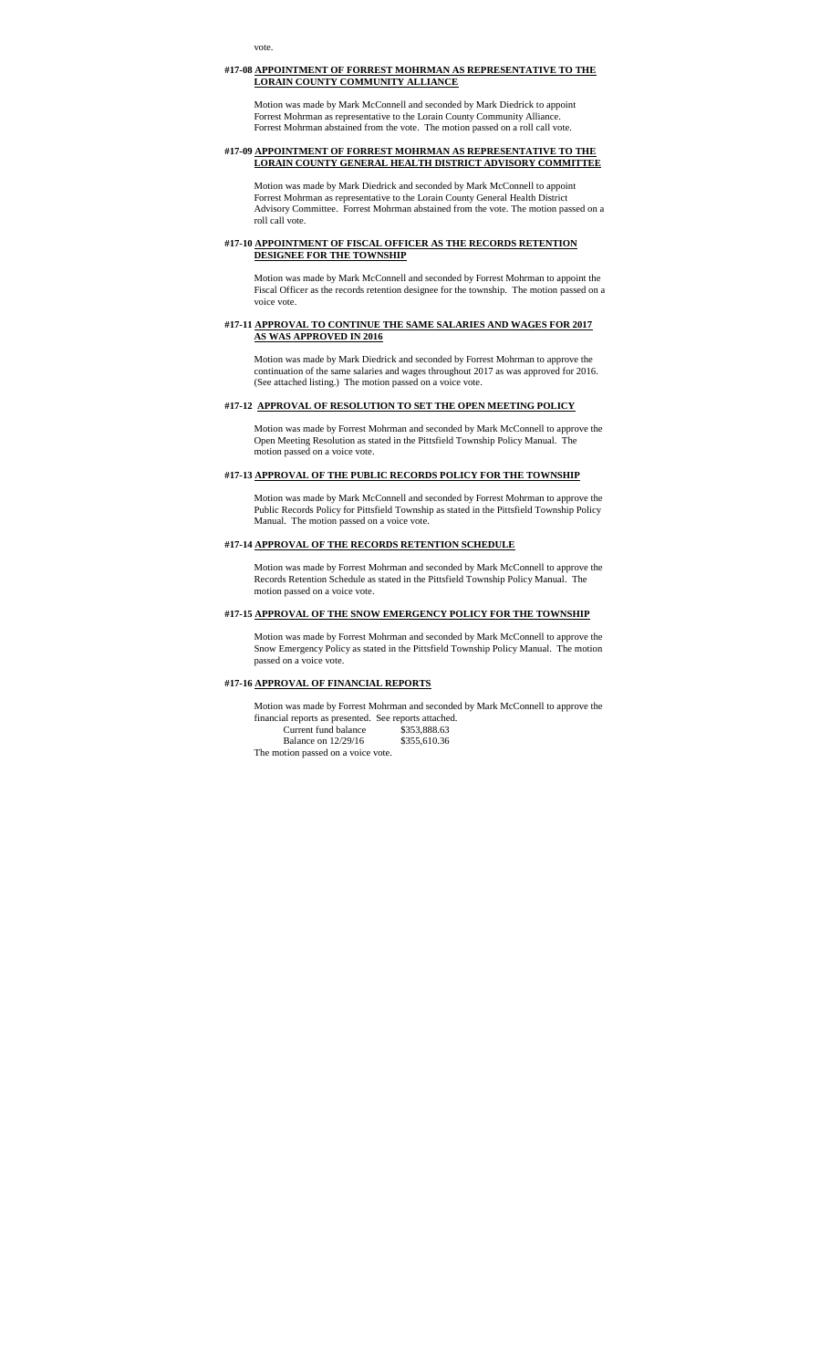#### **#17-08 APPOINTMENT OF FORREST MOHRMAN AS REPRESENTATIVE TO THE LORAIN COUNTY COMMUNITY ALLIANCE**

Motion was made by Mark McConnell and seconded by Mark Diedrick to appoint Forrest Mohrman as representative to the Lorain County Community Alliance. Forrest Mohrman abstained from the vote. The motion passed on a roll call vote.

#### **#17-09 APPOINTMENT OF FORREST MOHRMAN AS REPRESENTATIVE TO THE LORAIN COUNTY GENERAL HEALTH DISTRICT ADVISORY COMMITTEE**

Motion was made by Mark Diedrick and seconded by Mark McConnell to appoint Forrest Mohrman as representative to the Lorain County General Health District Advisory Committee. Forrest Mohrman abstained from the vote. The motion passed on a roll call vote.

#### **#17-10 APPOINTMENT OF FISCAL OFFICER AS THE RECORDS RETENTION DESIGNEE FOR THE TOWNSHIP**

Motion was made by Mark McConnell and seconded by Forrest Mohrman to appoint the Fiscal Officer as the records retention designee for the township. The motion passed on a voice vote.

### **#17-11 APPROVAL TO CONTINUE THE SAME SALARIES AND WAGES FOR 2017 AS WAS APPROVED IN 2016**

Motion was made by Mark Diedrick and seconded by Forrest Mohrman to approve the continuation of the same salaries and wages throughout 2017 as was approved for 2016. (See attached listing.) The motion passed on a voice vote.

### **#17-12 APPROVAL OF RESOLUTION TO SET THE OPEN MEETING POLICY**

Motion was made by Forrest Mohrman and seconded by Mark McConnell to approve the Open Meeting Resolution as stated in the Pittsfield Township Policy Manual. The motion passed on a voice vote.

### **#17-13 APPROVAL OF THE PUBLIC RECORDS POLICY FOR THE TOWNSHIP**

Motion was made by Mark McConnell and seconded by Forrest Mohrman to approve the Public Records Policy for Pittsfield Township as stated in the Pittsfield Township Policy Manual. The motion passed on a voice vote.

#### **#17-14 APPROVAL OF THE RECORDS RETENTION SCHEDULE**

Motion was made by Forrest Mohrman and seconded by Mark McConnell to approve the Records Retention Schedule as stated in the Pittsfield Township Policy Manual. The motion passed on a voice vote.

#### **#17-15 APPROVAL OF THE SNOW EMERGENCY POLICY FOR THE TOWNSHIP**

Motion was made by Forrest Mohrman and seconded by Mark McConnell to approve the Snow Emergency Policy as stated in the Pittsfield Township Policy Manual. The motion passed on a voice vote.

#### **#17-16 APPROVAL OF FINANCIAL REPORTS**

Motion was made by Forrest Mohrman and seconded by Mark McConnell to approve the financial reports as presented. See reports attached. Current fund balance \$353,888.63

Balance on 12/29/16 \$355,610.36 The motion passed on a voice vote.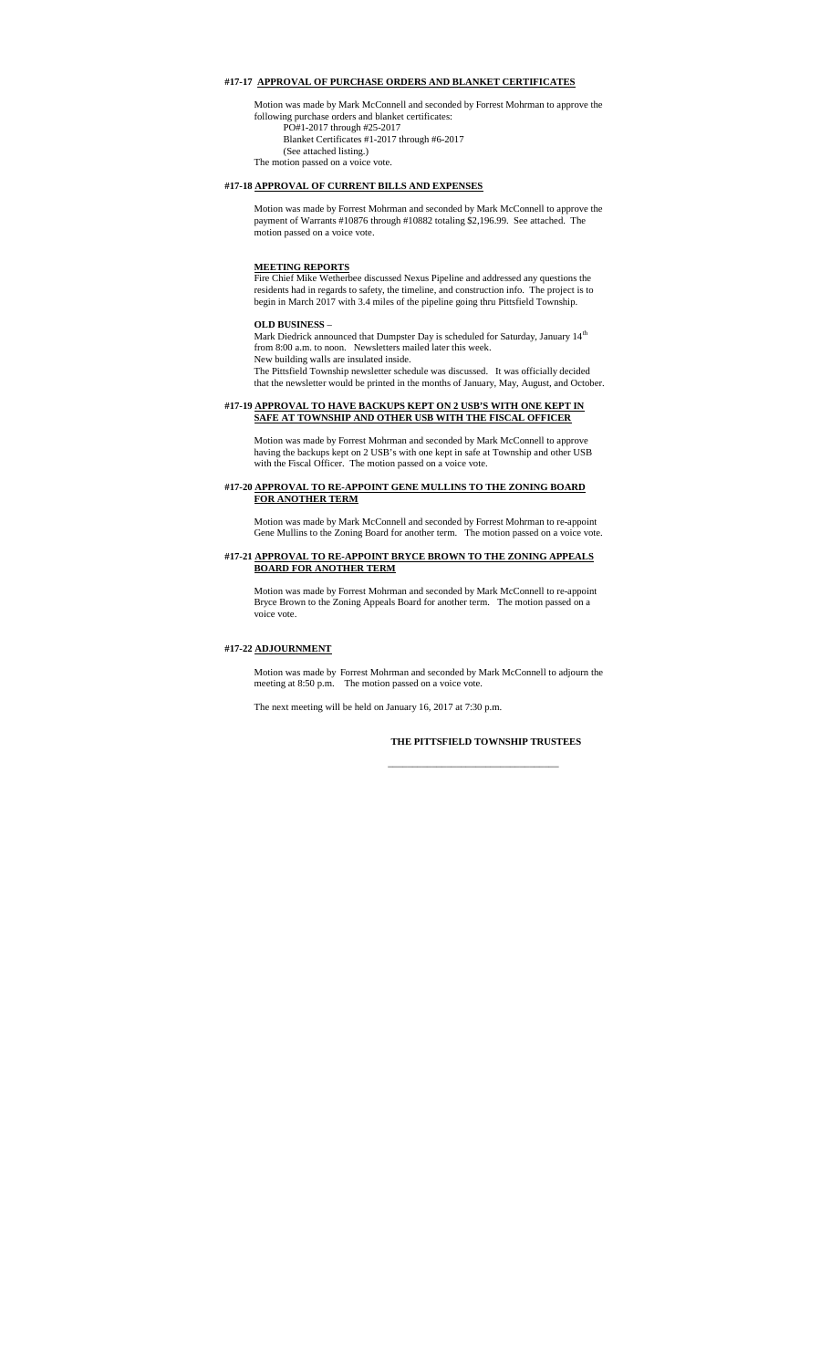# **#17-17 APPROVAL OF PURCHASE ORDERS AND BLANKET CERTIFICATES**

Motion was made by Mark McConnell and seconded by Forrest Mohrman to approve the following purchase orders and blanket certificates: PO#1-2017 through #25-2017

Blanket Certificates #1-2017 through #6-2017 (See attached listing.)

The motion passed on a voice vote.

# **#17-18 APPROVAL OF CURRENT BILLS AND EXPENSES**

Motion was made by Forrest Mohrman and seconded by Mark McConnell to approve the payment of Warrants #10876 through #10882 totaling \$2,196.99. See attached. The motion passed on a voice vote.

#### **MEETING REPORTS**

Fire Chief Mike Wetherbee discussed Nexus Pipeline and addressed any questions the residents had in regards to safety, the timeline, and construction info. The project is to begin in March 2017 with 3.4 miles of the pipeline going thru Pittsfield Township.

## **OLD BUSINESS** –

Mark Diedrick announced that Dumpster Day is scheduled for Saturday, January  $14^{\rm th}$ from 8:00 a.m. to noon. Newsletters mailed later this week. New building walls are insulated inside.

The Pittsfield Township newsletter schedule was discussed. It was officially decided that the newsletter would be printed in the months of January, May, August, and October.

#### **#17-19 APPROVAL TO HAVE BACKUPS KEPT ON 2 USB'S WITH ONE KEPT IN SAFE AT TOWNSHIP AND OTHER USB WITH THE FISCAL OFFICER**

Motion was made by Forrest Mohrman and seconded by Mark McConnell to approve having the backups kept on 2 USB's with one kept in safe at Township and other USB with the Fiscal Officer. The motion passed on a voice vote.

#### **#17-20 APPROVAL TO RE-APPOINT GENE MULLINS TO THE ZONING BOARD FOR ANOTHER TERM**

Motion was made by Mark McConnell and seconded by Forrest Mohrman to re-appoint Gene Mullins to the Zoning Board for another term. The motion passed on a voice vote.

### **#17-21 APPROVAL TO RE-APPOINT BRYCE BROWN TO THE ZONING APPEALS BOARD FOR ANOTHER TERM**

Motion was made by Forrest Mohrman and seconded by Mark McConnell to re-appoint Bryce Brown to the Zoning Appeals Board for another term. The motion passed on a voice vote.

### **#17-22 ADJOURNMENT**

Motion was made by Forrest Mohrman and seconded by Mark McConnell to adjourn the meeting at 8:50 p.m. The motion passed on a voice vote.

The next meeting will be held on January 16, 2017 at 7:30 p.m.

# **THE PITTSFIELD TOWNSHIP TRUSTEES**

\_\_\_\_\_\_\_\_\_\_\_\_\_\_\_\_\_\_\_\_\_\_\_\_\_\_\_\_\_\_\_\_\_\_\_